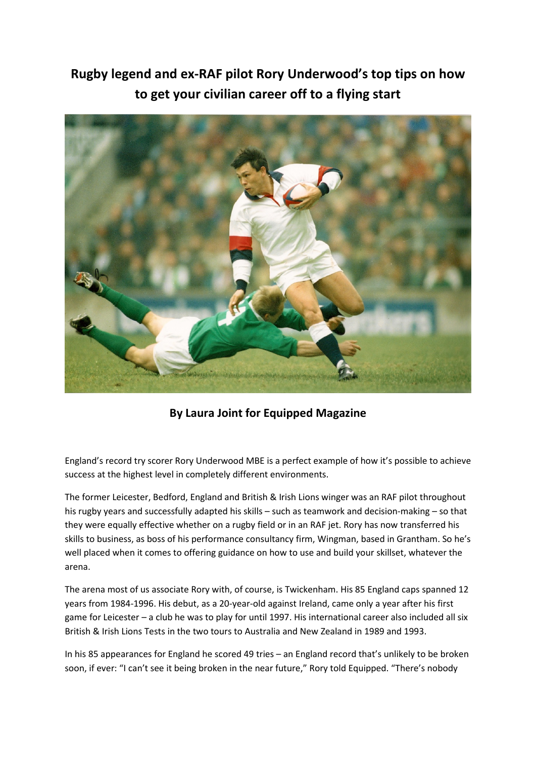**Rugby legend and ex-RAF pilot Rory Underwood's top tips on how to get your civilian career off to a flying start** 



**By Laura Joint for Equipped Magazine** 

England's record try scorer Rory Underwood MBE is a perfect example of how it's possible to achieve success at the highest level in completely different environments.

The former Leicester, Bedford, England and British & Irish Lions winger was an RAF pilot throughout his rugby years and successfully adapted his skills – such as teamwork and decision-making – so that they were equally effective whether on a rugby field or in an RAF jet. Rory has now transferred his skills to business, as boss of his performance consultancy firm, Wingman, based in Grantham. So he's well placed when it comes to offering guidance on how to use and build your skillset, whatever the arena.

The arena most of us associate Rory with, of course, is Twickenham. His 85 England caps spanned 12 years from 1984-1996. His debut, as a 20-year-old against Ireland, came only a year after his first game for Leicester – a club he was to play for until 1997. His international career also included all six British & Irish Lions Tests in the two tours to Australia and New Zealand in 1989 and 1993.

In his 85 appearances for England he scored 49 tries – an England record that's unlikely to be broken soon, if ever: "I can't see it being broken in the near future," Rory told Equipped. "There's nobody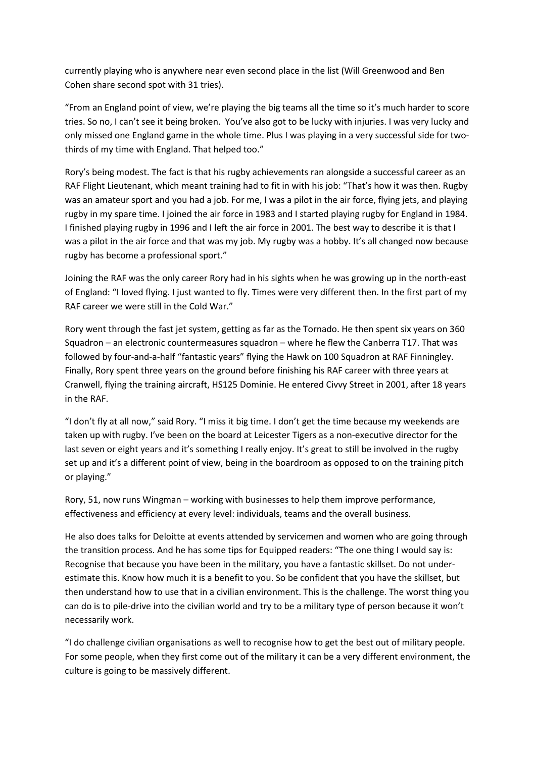currently playing who is anywhere near even second place in the list (Will Greenwood and Ben Cohen share second spot with 31 tries).

"From an England point of view, we're playing the big teams all the time so it's much harder to score tries. So no, I can't see it being broken. You've also got to be lucky with injuries. I was very lucky and only missed one England game in the whole time. Plus I was playing in a very successful side for twothirds of my time with England. That helped too."

Rory's being modest. The fact is that his rugby achievements ran alongside a successful career as an RAF Flight Lieutenant, which meant training had to fit in with his job: "That's how it was then. Rugby was an amateur sport and you had a job. For me, I was a pilot in the air force, flying jets, and playing rugby in my spare time. I joined the air force in 1983 and I started playing rugby for England in 1984. I finished playing rugby in 1996 and I left the air force in 2001. The best way to describe it is that I was a pilot in the air force and that was my job. My rugby was a hobby. It's all changed now because rugby has become a professional sport."

Joining the RAF was the only career Rory had in his sights when he was growing up in the north-east of England: "I loved flying. I just wanted to fly. Times were very different then. In the first part of my RAF career we were still in the Cold War."

Rory went through the fast jet system, getting as far as the Tornado. He then spent six years on 360 Squadron – an electronic countermeasures squadron – where he flew the Canberra T17. That was followed by four-and-a-half "fantastic years" flying the Hawk on 100 Squadron at RAF Finningley. Finally, Rory spent three years on the ground before finishing his RAF career with three years at Cranwell, flying the training aircraft, HS125 Dominie. He entered Civvy Street in 2001, after 18 years in the RAF.

"I don't fly at all now," said Rory. "I miss it big time. I don't get the time because my weekends are taken up with rugby. I've been on the board at Leicester Tigers as a non-executive director for the last seven or eight years and it's something I really enjoy. It's great to still be involved in the rugby set up and it's a different point of view, being in the boardroom as opposed to on the training pitch or playing."

Rory, 51, now runs Wingman – working with businesses to help them improve performance, effectiveness and efficiency at every level: individuals, teams and the overall business.

He also does talks for Deloitte at events attended by servicemen and women who are going through the transition process. And he has some tips for Equipped readers: "The one thing I would say is: Recognise that because you have been in the military, you have a fantastic skillset. Do not underestimate this. Know how much it is a benefit to you. So be confident that you have the skillset, but then understand how to use that in a civilian environment. This is the challenge. The worst thing you can do is to pile-drive into the civilian world and try to be a military type of person because it won't necessarily work.

"I do challenge civilian organisations as well to recognise how to get the best out of military people. For some people, when they first come out of the military it can be a very different environment, the culture is going to be massively different.